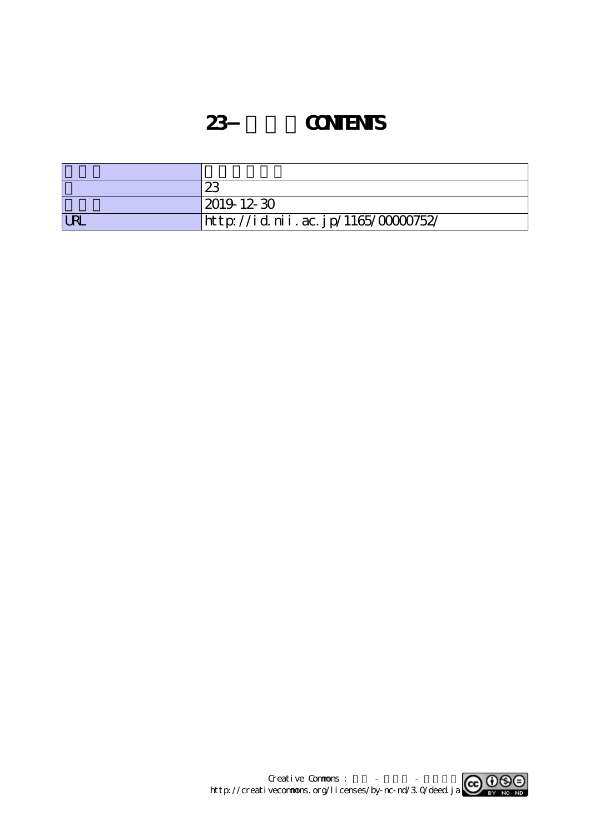## 23 **CONTENTS**

|            | 23                                 |
|------------|------------------------------------|
|            | 2019 12 30                         |
| <b>LRL</b> | http://id.nii.ac.jp/1165/00000752/ |

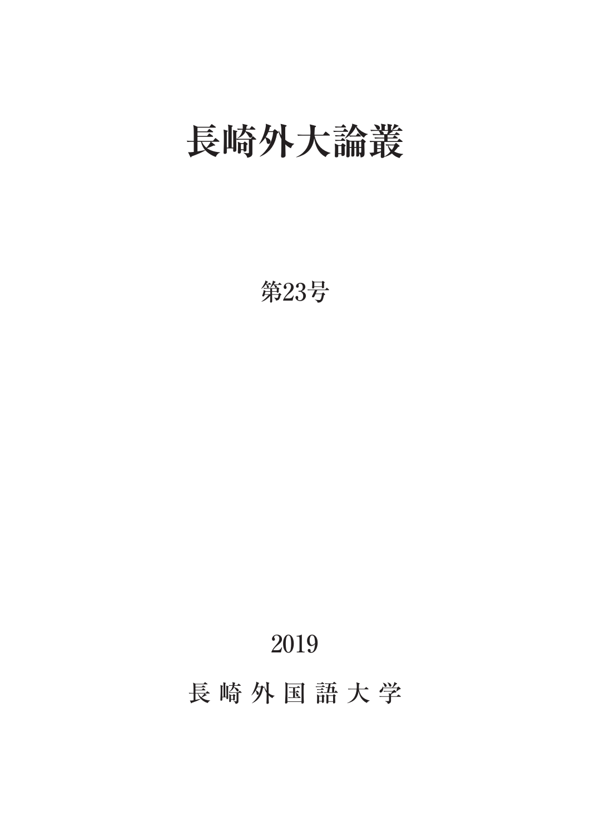## **長崎外大論叢**

第23号

2019 長崎外国語大学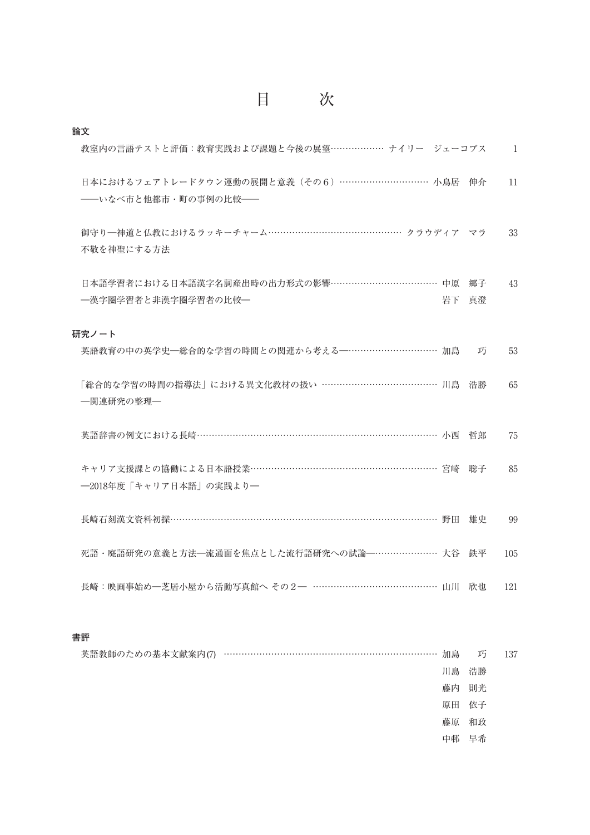| 目<br>次                                                                                                  |       |              |
|---------------------------------------------------------------------------------------------------------|-------|--------------|
| 論文                                                                                                      |       |              |
| 教室内の言語テストと評価:教育実践および課題と今後の展望……………… ナイリー ジェーコブス                                                          |       | $\mathbf{1}$ |
| 日本におけるフェアトレードタウン運動の展開と意義 (その6) …………………………… 小鳥居 伸介<br>――いなべ市と他都市・町の事例の比較――                               |       | 11           |
| 御守り–神道と仏教におけるラッキーチャーム………………………………………… クラウディア マラ<br>不敬を神聖にする方法                                           |       | 33           |
| 日本語学習者における日本語漢字名詞産出時の出力形式の影響……………………………… 中原 郷子<br>―漢字圏学習者と非漢字圏学習者の比較―                                   | 岩下 真澄 | 43           |
| 研究ノート<br>英語教育の中の英学史–総合的な学習の時間との関連から考える–………………………… 加島<br>「総合的な学習の時間の指導法」における異文化教材の扱い ………………………………… 川島 浩勝 | 巧     | 53<br>65     |
| 一関連研究の整理―<br>英語辞書の例文における長崎……………………………………………………………………… 小西 哲郎                                             |       | 75           |
| キャリア支援課との協働による日本語授業……………………………………………………… 宮崎 聡子<br>→2018年度「キャリア日本語」の実践より→                                |       | 85           |
| 長崎石刻漢文資料初探……………………………………………………………………………… 野田 雄史                                                          |       | 99           |
| 死語・廃語研究の意義と方法–流通面を焦点とした流行語研究への試論–………………… 大谷 鉄平                                                          |       | 105          |
| 長崎:映画事始め--芝居小屋から活動写真館へ その2- …………………………………… 山川                                                           | 欣也    | 121          |
|                                                                                                         |       |              |

## **書評**

|  | 英語教師のための基本文献案内(7) ………………………………………………………………… 加島 巧 137 |       |    |  |
|--|------------------------------------------------------|-------|----|--|
|  |                                                      | 川島 浩勝 |    |  |
|  |                                                      | 藤内 則光 |    |  |
|  |                                                      | 原田 依子 |    |  |
|  |                                                      | 藤原 和政 |    |  |
|  |                                                      | 中邨    | 早希 |  |
|  |                                                      |       |    |  |